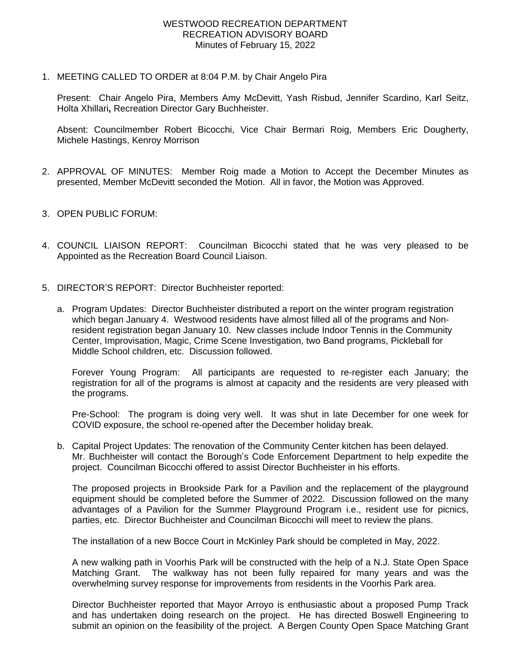1. MEETING CALLED TO ORDER at 8:04 P.M. by Chair Angelo Pira

Present: Chair Angelo Pira, Members Amy McDevitt, Yash Risbud, Jennifer Scardino, Karl Seitz, Holta Xhillari**,** Recreation Director Gary Buchheister.

Absent: Councilmember Robert Bicocchi, Vice Chair Bermari Roig, Members Eric Dougherty, Michele Hastings, Kenroy Morrison

- 2. APPROVAL OF MINUTES: Member Roig made a Motion to Accept the December Minutes as presented, Member McDevitt seconded the Motion. All in favor, the Motion was Approved.
- 3. OPEN PUBLIC FORUM:
- 4. COUNCIL LIAISON REPORT: Councilman Bicocchi stated that he was very pleased to be Appointed as the Recreation Board Council Liaison.
- 5. DIRECTOR'S REPORT: Director Buchheister reported:
	- a. Program Updates: Director Buchheister distributed a report on the winter program registration which began January 4. Westwood residents have almost filled all of the programs and Nonresident registration began January 10. New classes include Indoor Tennis in the Community Center, Improvisation, Magic, Crime Scene Investigation, two Band programs, Pickleball for Middle School children, etc. Discussion followed.

Forever Young Program: All participants are requested to re-register each January; the registration for all of the programs is almost at capacity and the residents are very pleased with the programs.

Pre-School: The program is doing very well. It was shut in late December for one week for COVID exposure, the school re-opened after the December holiday break.

b. Capital Project Updates: The renovation of the Community Center kitchen has been delayed. Mr. Buchheister will contact the Borough's Code Enforcement Department to help expedite the project. Councilman Bicocchi offered to assist Director Buchheister in his efforts.

The proposed projects in Brookside Park for a Pavilion and the replacement of the playground equipment should be completed before the Summer of 2022. Discussion followed on the many advantages of a Pavilion for the Summer Playground Program i.e., resident use for picnics, parties, etc. Director Buchheister and Councilman Bicocchi will meet to review the plans.

The installation of a new Bocce Court in McKinley Park should be completed in May, 2022.

A new walking path in Voorhis Park will be constructed with the help of a N.J. State Open Space Matching Grant. The walkway has not been fully repaired for many years and was the overwhelming survey response for improvements from residents in the Voorhis Park area.

Director Buchheister reported that Mayor Arroyo is enthusiastic about a proposed Pump Track and has undertaken doing research on the project. He has directed Boswell Engineering to submit an opinion on the feasibility of the project. A Bergen County Open Space Matching Grant